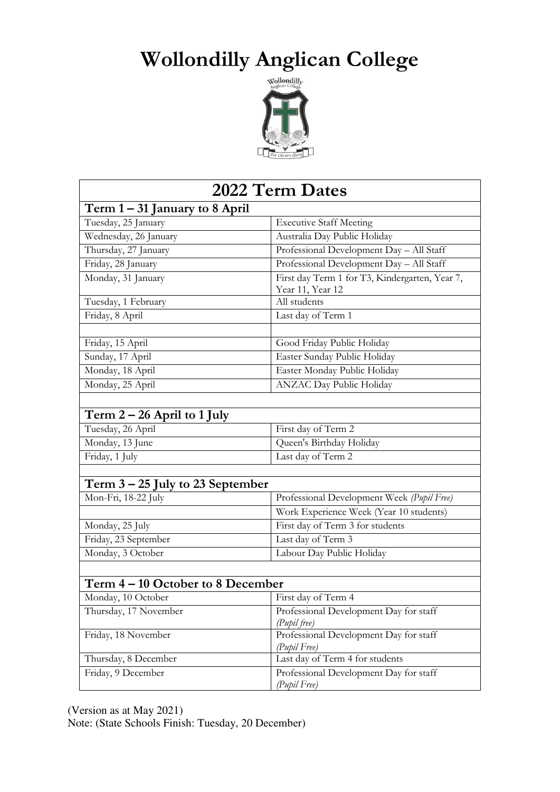## **Wollondilly Anglican College**



| 2022 Term Dates                    |                                                        |
|------------------------------------|--------------------------------------------------------|
| Term $1 - 31$ January to 8 April   |                                                        |
| Tuesday, 25 January                | <b>Executive Staff Meeting</b>                         |
| Wednesday, 26 January              | Australia Day Public Holiday                           |
| Thursday, 27 January               | Professional Development Day - All Staff               |
| Friday, 28 January                 | Professional Development Day - All Staff               |
| Monday, 31 January                 | First day Term 1 for T3, Kindergarten, Year 7,         |
|                                    | Year 11, Year 12                                       |
| Tuesday, 1 February                | All students                                           |
| Friday, 8 April                    | Last day of Term 1                                     |
|                                    |                                                        |
| Friday, 15 April                   | Good Friday Public Holiday                             |
| Sunday, 17 April                   | Easter Sunday Public Holiday                           |
| Monday, 18 April                   | Easter Monday Public Holiday                           |
| Monday, 25 April                   | ANZAC Day Public Holiday                               |
|                                    |                                                        |
| Term $2 - 26$ April to 1 July      |                                                        |
| Tuesday, 26 April                  | First day of Term 2                                    |
| Monday, 13 June                    | Queen's Birthday Holiday                               |
| Friday, 1 July                     | Last day of Term 2                                     |
|                                    |                                                        |
| Term $3 - 25$ July to 23 September |                                                        |
| Mon-Fri, 18-22 July                | Professional Development Week (Pupil Free)             |
|                                    | Work Experience Week (Year 10 students)                |
| Monday, 25 July                    | First day of Term 3 for students                       |
| Friday, 23 September               | Last day of Term 3                                     |
| Monday, 3 October                  | Labour Day Public Holiday                              |
|                                    |                                                        |
| Term 4 – 10 October to 8 December  |                                                        |
| Monday, 10 October                 | First day of Term 4                                    |
| Thursday, 17 November              | Professional Development Day for staff<br>(Pupil free) |
| Friday, 18 November                | Professional Development Day for staff<br>(Pupil Free) |
| Thursday, 8 December               | Last day of Term 4 for students                        |
| Friday, 9 December                 | Professional Development Day for staff<br>(Pupil Free) |

(Version as at May 2021) Note: (State Schools Finish: Tuesday, 20 December)